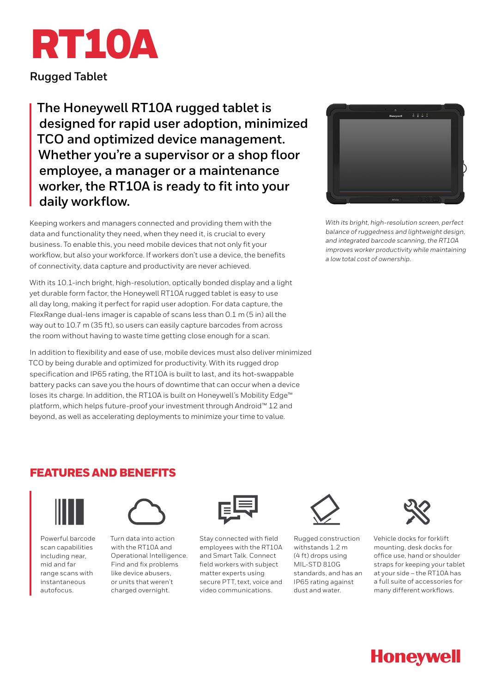

**Rugged Tablet**

**The Honeywell RT10A rugged tablet is designed for rapid user adoption, minimized TCO and optimized device management. Whether you're a supervisor or a shop floor employee, a manager or a maintenance worker, the RT10A is ready to fit into your daily workflow.**

Keeping workers and managers connected and providing them with the data and functionality they need, when they need it, is crucial to every business. To enable this, you need mobile devices that not only fit your workflow, but also your workforce. If workers don't use a device, the benefits of connectivity, data capture and productivity are never achieved.

With its 10.1-inch bright, high-resolution, optically bonded display and a light yet durable form factor, the Honeywell RT10A rugged tablet is easy to use all day long, making it perfect for rapid user adoption. For data capture, the FlexRange dual-lens imager is capable of scans less than 0.1 m (5 in) all the way out to 10.7 m (35 ft), so users can easily capture barcodes from across the room without having to waste time getting close enough for a scan.

In addition to flexibility and ease of use, mobile devices must also deliver minimized TCO by being durable and optimized for productivity. With its rugged drop specification and IP65 rating, the RT10A is built to last, and its hot-swappable battery packs can save you the hours of downtime that can occur when a device loses its charge. In addition, the RT10A is built on Honeywell's Mobility Edge™ platform, which helps future-proof your investment through Android™ 12 and beyond, as well as accelerating deployments to minimize your time to value.



*With its bright, high-resolution screen, perfect balance of ruggedness and lightweight design, and integrated barcode scanning, the RT10A improves worker productivity while maintaining a low total cost of ownership.*

## FEATURES AND BENEFITS



Powerful barcode scan capabilities including near, mid and far range scans with instantaneous autofocus.



Turn data into action with the RT10A and Operational Intelligence. Find and fix problems like device abusers, or units that weren't charged overnight.



Stay connected with field employees with the RT10A and Smart Talk. Connect field workers with subject matter experts using secure PTT text, voice and video communications.



Rugged construction withstands 1.2 m (4 ft) drops using MIL-STD 810G standards, and has an IP65 rating against dust and water.



Vehicle docks for forklift mounting, desk docks for office use, hand or shoulder straps for keeping your tablet at your side – the RT10A has a full suite of accessories for many different workflows.